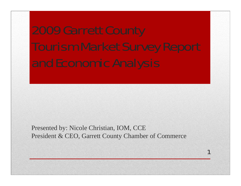Presented by: Nicole Christian, IOM, CCE President & CEO, Garrett County Chamber of Commerce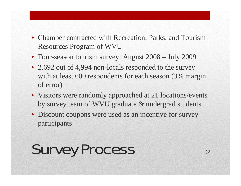- Chamber contracted with Recreation, Parks, and Tourism Resources Program of WVU
- Four-season tourism survey: August 2008 July 2009
- 2,692 out of 4,994 non-locals responded to the survey with at least 600 respondents for each season (3% margin of error)
- Visitors were randomly approached at 21 locations/events by survey team of WVU graduate & undergrad students

2

• Discount coupons were used as an incentive for survey participants

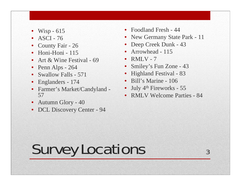- Wisp  $-615$
- $\text{ASCII} 76$
- County Fair 26
- $\bullet$  Honi-Honi 115
- Art & Wine Festival 69
- Penn Alps 264
- Swallow Falls 571
- Englanders 174
- Farmer's Market/Candyland 57
- Autumn Glory 40
- DCL Discovery Center 94
- Foodland Fresh 44
- New Germany State Park 11
- Deep Creek Dunk 43
- Arrowhead 115
- $RMLV 7$
- Smiley's Fun Zone 43
- Highland Festival 83
- Bill's Marine 106
- July  $4<sup>th</sup>$  Fireworks 55
- RMLV Welcome Parties 84

# Survey Locations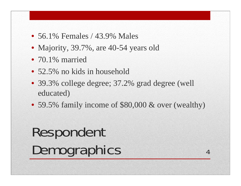- 56.1% Females / 43.9% Males
- Majority, 39.7%, are 40-54 years old
- 70.1% married
- 52.5% no kids in household
- 39.3% college degree; 37.2% grad degree (well educated)
- 59.5% family income of \$80,000 & over (wealthy)

## Respondent Demographics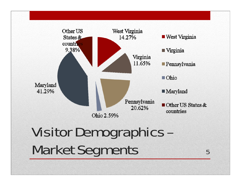

## Visitor Demographics – Market Segments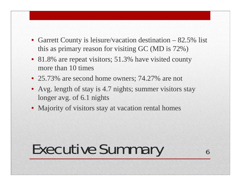- Garrett County is leisure/vacation destination 82.5% list this as primary reason for visiting GC (MD is 72%)
- 81.8% are repeat visitors; 51.3% have visited county more than 10 times
- 25.73% are second home owners; 74.27% are not
- Avg. length of stay is 4.7 nights; summer visitors stay longer avg. of 6.1 nights

6

• Majority of visitors stay at vacation rental homes

## Executive Summary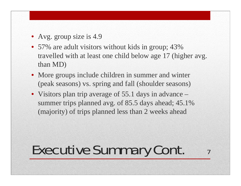- Avg. group size is 4.9
- 57% are adult visitors without kids in group; 43% travelled with at least one child below age 17 (higher avg. than MD)
- More groups include children in summer and winter (peak seasons) vs. spring and fall (shoulder seasons)
- Visitors plan trip average of 55.1 days in advance summer trips planned avg. of 85.5 days ahead; 45.1% (majority) of trips planned less than 2 weeks ahead

### Executive Summary Cont.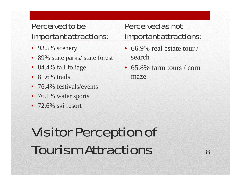#### Perceived to be important attractions:

- 93.5% scenery
- 89% state parks/ state forest
- 84.4% fall foliage
- $81.6\%$  trails
- 76.4% festivals/events
- 76.1% water sports
- 72.6% ski resort

### Perceived as not important attractions:

- 66.9% real estate tour / search
- 65.8% farm tours / corn maze

## Visitor Perception of Tourism Attractions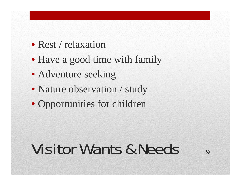- Rest / relaxation
- Have a good time with family
- Adventure seeking
- Nature observation / study
- Opportunities for children

## Visitor Wants & Needs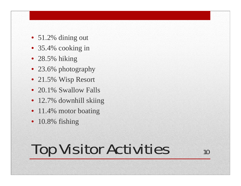- 51.2% dining out
- 35.4% cooking in
- 28.5% hiking
- 23.6% photography
- 21.5% Wisp Resort
- 20.1% Swallow Falls
- 12.7% downhill skiing
- 11.4% motor boating
- 10.8% fishing

## Top Visitor Activities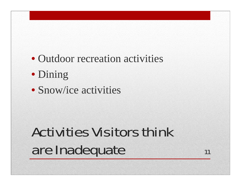- Outdoor recreation activities
- Dining
- Snow/ice activities

## Activities Visitors think are Inadequate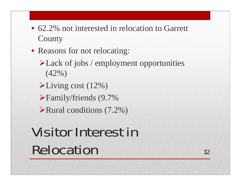- 62.2% not interested in relocation to Garrett **County**
- Reasons for not relocating:
	- Lack of jobs / employment opportunities (42%)
	- Living cost (12%)
	- Family/friends (9.7%
	- Rural conditions (7.2%)

## Visitor Interest in Relocation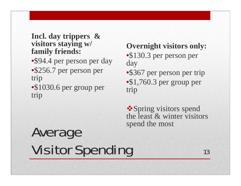#### **Incl. day trippers & visitors staying w/ family friends:**

- \$94.4 per person per day
- •\$256.7 per person per trip
- •\$1030.6 per group per trip

#### **Overnight visitors only:**

- \$130.3 per person per day
- \$367 per person per trip •\$1,760.3 per group per trip

**❖ Spring visitors spend** the least & winter visitors spend the most

### Average Visitor Spending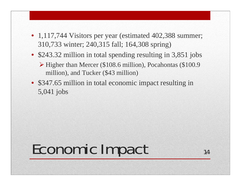- 1,117,744 Visitors per year (estimated 402,388 summer; 310,733 winter; 240,315 fall; 164,308 spring)
- \$243.32 million in total spending resulting in 3,851 jobs
	- Higher than Mercer (\$108.6 million), Pocahontas (\$100.9 million), and Tucker (\$43 million)
- \$347.65 million in total economic impact resulting in 5,041 jobs

## Economic Impact